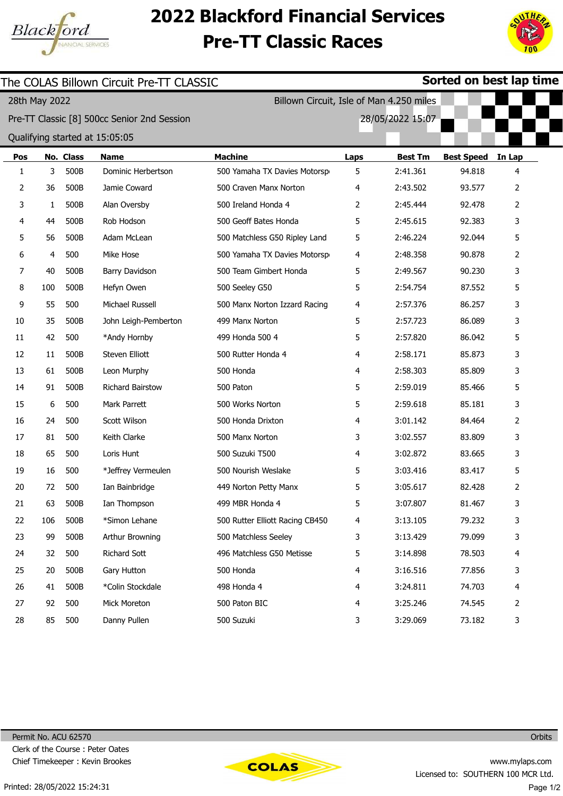

## 2022 Blackford Financial Services Pre-TT Classic Races



| The COLAS Billown Circuit Pre-TT CLASSIC |               |           |                                             | Sorted on best lap time         |                                          |                  |                   |                |  |
|------------------------------------------|---------------|-----------|---------------------------------------------|---------------------------------|------------------------------------------|------------------|-------------------|----------------|--|
|                                          | 28th May 2022 |           |                                             |                                 | Billown Circuit, Isle of Man 4.250 miles |                  |                   |                |  |
|                                          |               |           | Pre-TT Classic [8] 500cc Senior 2nd Session |                                 |                                          | 28/05/2022 15:07 |                   |                |  |
|                                          |               |           | Qualifying started at 15:05:05              |                                 |                                          |                  |                   |                |  |
| Pos                                      |               | No. Class | <b>Name</b>                                 | <b>Machine</b>                  | Laps                                     | <b>Best Tm</b>   | <b>Best Speed</b> | In Lap         |  |
| 1                                        | 3             | 500B      | Dominic Herbertson                          | 500 Yamaha TX Davies Motorsp    | 5                                        | 2:41.361         | 94.818            | 4              |  |
| 2                                        | 36            | 500B      | Jamie Coward                                | 500 Craven Manx Norton          | 4                                        | 2:43.502         | 93.577            | $\overline{2}$ |  |
| 3                                        | 1             | 500B      | Alan Oversby                                | 500 Ireland Honda 4             | 2                                        | 2:45.444         | 92.478            | 2              |  |
| 4                                        | 44            | 500B      | Rob Hodson                                  | 500 Geoff Bates Honda           | 5                                        | 2:45.615         | 92.383            | 3              |  |
| 5                                        | 56            | 500B      | Adam McLean                                 | 500 Matchless G50 Ripley Land   | 5                                        | 2:46.224         | 92.044            | 5              |  |
| 6                                        | 4             | 500       | Mike Hose                                   | 500 Yamaha TX Davies Motorsp    | 4                                        | 2:48.358         | 90.878            | 2              |  |
| 7                                        | 40            | 500B      | Barry Davidson                              | 500 Team Gimbert Honda          | 5                                        | 2:49.567         | 90.230            | 3              |  |
| 8                                        | 100           | 500B      | Hefyn Owen                                  | 500 Seeley G50                  | 5                                        | 2:54.754         | 87.552            | 5              |  |
| 9                                        | 55            | 500       | Michael Russell                             | 500 Manx Norton Izzard Racing   | 4                                        | 2:57.376         | 86.257            | 3              |  |
| 10                                       | 35            | 500B      | John Leigh-Pemberton                        | 499 Manx Norton                 | 5                                        | 2:57.723         | 86.089            | 3              |  |
| 11                                       | 42            | 500       | *Andy Hornby                                | 499 Honda 500 4                 | 5                                        | 2:57.820         | 86.042            | 5              |  |
| 12                                       | 11            | 500B      | Steven Elliott                              | 500 Rutter Honda 4              | 4                                        | 2:58.171         | 85.873            | 3              |  |
| 13                                       | 61            | 500B      | Leon Murphy                                 | 500 Honda                       | 4                                        | 2:58.303         | 85.809            | 3              |  |
| 14                                       | 91            | 500B      | Richard Bairstow                            | 500 Paton                       | 5                                        | 2:59.019         | 85.466            | 5              |  |
| 15                                       | 6             | 500       | Mark Parrett                                | 500 Works Norton                | 5                                        | 2:59.618         | 85.181            | 3              |  |
| 16                                       | 24            | 500       | Scott Wilson                                | 500 Honda Drixton               | 4                                        | 3:01.142         | 84.464            | 2              |  |
| 17                                       | 81            | 500       | Keith Clarke                                | 500 Manx Norton                 | 3                                        | 3:02.557         | 83.809            | 3              |  |
| 18                                       | 65            | 500       | Loris Hunt                                  | 500 Suzuki T500                 | 4                                        | 3:02.872         | 83.665            | 3              |  |
| 19                                       | 16            | 500       | *Jeffrey Vermeulen                          | 500 Nourish Weslake             | 5                                        | 3:03.416         | 83.417            | 5              |  |
| 20                                       | 72            | 500       | Ian Bainbridge                              | 449 Norton Petty Manx           | 5                                        | 3:05.617         | 82.428            | $\overline{2}$ |  |
| 21                                       | 63            | 500B      | Ian Thompson                                | 499 MBR Honda 4                 | 5                                        | 3:07.807         | 81.467            | 3              |  |
| 22                                       | 106           | 500B      | *Simon Lehane                               | 500 Rutter Elliott Racing CB450 | 4                                        | 3:13.105         | 79.232            | 3              |  |
| 23                                       | 99            | 500B      | Arthur Browning                             | 500 Matchless Seeley            | 3                                        | 3:13.429         | 79.099            | 3              |  |
| 24                                       | 32            | 500       | Richard Sott                                | 496 Matchless G50 Metisse       | 5                                        | 3:14.898         | 78.503            | 4              |  |
| 25                                       | 20            | 500B      | Gary Hutton                                 | 500 Honda                       | 4                                        | 3:16.516         | 77.856            | 3              |  |
| 26                                       | 41            | 500B      | *Colin Stockdale                            | 498 Honda 4                     | 4                                        | 3:24.811         | 74.703            | 4              |  |
| 27                                       | 92            | 500       | Mick Moreton                                | 500 Paton BIC                   | 4                                        | 3:25.246         | 74.545            | 2              |  |
| 28                                       | 85            | 500       | Danny Pullen                                | 500 Suzuki                      | 3                                        | 3:29.069         | 73.182            | 3              |  |



**Orbits**